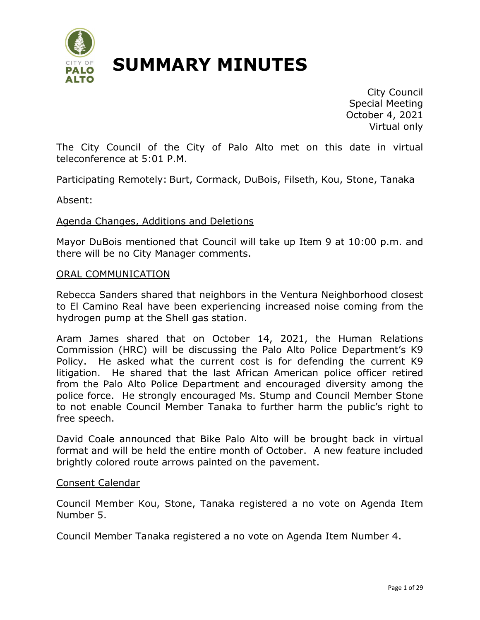

City Council Special Meeting October 4, 2021 Virtual only

The City Council of the City of Palo Alto met on this date in virtual teleconference at 5:01 P.M.

Participating Remotely: Burt, Cormack, DuBois, Filseth, Kou, Stone, Tanaka

Absent:

#### Agenda Changes, Additions and Deletions

Mayor DuBois mentioned that Council will take up Item 9 at 10:00 p.m. and there will be no City Manager comments.

#### ORAL COMMUNICATION

Rebecca Sanders shared that neighbors in the Ventura Neighborhood closest to El Camino Real have been experiencing increased noise coming from the hydrogen pump at the Shell gas station.

Aram James shared that on October 14, 2021, the Human Relations Commission (HRC) will be discussing the Palo Alto Police Department's K9 Policy. He asked what the current cost is for defending the current K9 litigation. He shared that the last African American police officer retired from the Palo Alto Police Department and encouraged diversity among the police force. He strongly encouraged Ms. Stump and Council Member Stone to not enable Council Member Tanaka to further harm the public's right to free speech.

David Coale announced that Bike Palo Alto will be brought back in virtual format and will be held the entire month of October. A new feature included brightly colored route arrows painted on the pavement.

#### Consent Calendar

Council Member Kou, Stone, Tanaka registered a no vote on Agenda Item Number 5.

Council Member Tanaka registered a no vote on Agenda Item Number 4.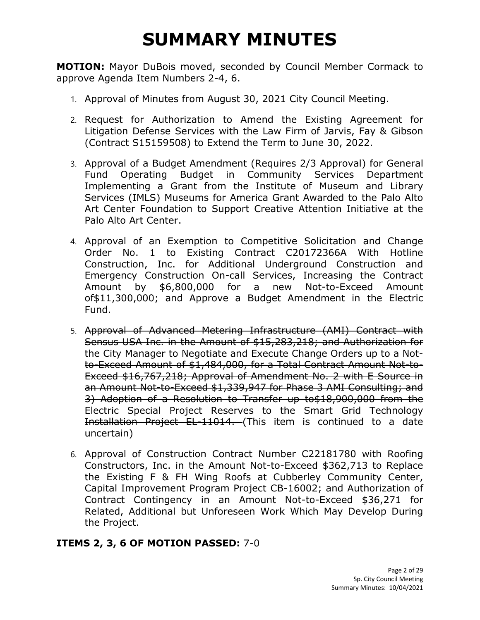**MOTION:** Mayor DuBois moved, seconded by Council Member Cormack to approve Agenda Item Numbers 2-4, 6.

- 1. Approval of Minutes from August 30, 2021 City Council Meeting.
- 2. Request for Authorization to Amend the Existing Agreement for Litigation Defense Services with the Law Firm of Jarvis, Fay & Gibson (Contract S15159508) to Extend the Term to June 30, 2022.
- 3. Approval of a Budget Amendment (Requires 2/3 Approval) for General Fund Operating Budget in Community Services Department Implementing a Grant from the Institute of Museum and Library Services (IMLS) Museums for America Grant Awarded to the Palo Alto Art Center Foundation to Support Creative Attention Initiative at the Palo Alto Art Center.
- 4. Approval of an Exemption to Competitive Solicitation and Change Order No. 1 to Existing Contract C20172366A With Hotline Construction, Inc. for Additional Underground Construction and Emergency Construction On-call Services, Increasing the Contract Amount by \$6,800,000 for a new Not-to-Exceed Amount of\$11,300,000; and Approve a Budget Amendment in the Electric Fund.
- 5. Approval of Advanced Metering Infrastructure (AMI) Contract with Sensus USA Inc. in the Amount of \$15,283,218; and Authorization for the City Manager to Negotiate and Execute Change Orders up to a Notto-Exceed Amount of \$1,484,000, for a Total Contract Amount Not-to-Exceed \$16,767,218; Approval of Amendment No. 2 with E Source in an Amount Not-to-Exceed \$1,339,947 for Phase 3 AMI Consulting; and 3) Adoption of a Resolution to Transfer up to\$18,900,000 from the Electric Special Project Reserves to the Smart Grid Technology Installation Project EL-11014. (This item is continued to a date uncertain)
- 6. Approval of Construction Contract Number C22181780 with Roofing Constructors, Inc. in the Amount Not-to-Exceed \$362,713 to Replace the Existing F & FH Wing Roofs at Cubberley Community Center, Capital Improvement Program Project CB-16002; and Authorization of Contract Contingency in an Amount Not-to-Exceed \$36,271 for Related, Additional but Unforeseen Work Which May Develop During the Project.

#### **ITEMS 2, 3, 6 OF MOTION PASSED:** 7-0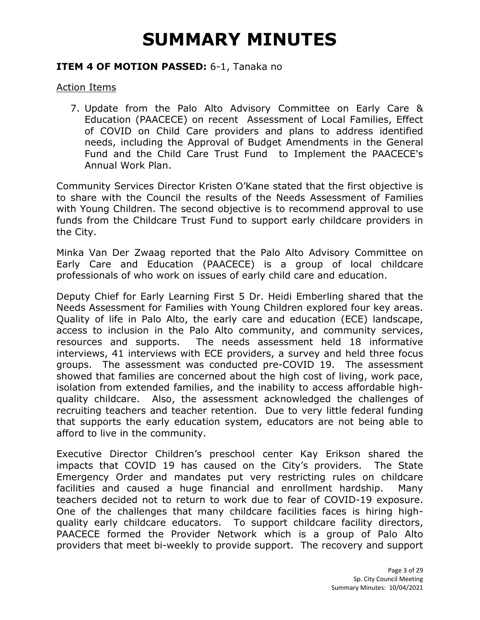#### **ITEM 4 OF MOTION PASSED:** 6-1, Tanaka no

#### Action Items

7. Update from the Palo Alto Advisory Committee on Early Care & Education (PAACECE) on recent Assessment of Local Families, Effect of COVID on Child Care providers and plans to address identified needs, including the Approval of Budget Amendments in the General Fund and the Child Care Trust Fund to Implement the PAACECE's Annual Work Plan.

Community Services Director Kristen O'Kane stated that the first objective is to share with the Council the results of the Needs Assessment of Families with Young Children. The second objective is to recommend approval to use funds from the Childcare Trust Fund to support early childcare providers in the City.

Minka Van Der Zwaag reported that the Palo Alto Advisory Committee on Early Care and Education (PAACECE) is a group of local childcare professionals of who work on issues of early child care and education.

Deputy Chief for Early Learning First 5 Dr. Heidi Emberling shared that the Needs Assessment for Families with Young Children explored four key areas. Quality of life in Palo Alto, the early care and education (ECE) landscape, access to inclusion in the Palo Alto community, and community services, resources and supports. The needs assessment held 18 informative interviews, 41 interviews with ECE providers, a survey and held three focus groups. The assessment was conducted pre-COVID 19. The assessment showed that families are concerned about the high cost of living, work pace, isolation from extended families, and the inability to access affordable highquality childcare. Also, the assessment acknowledged the challenges of recruiting teachers and teacher retention. Due to very little federal funding that supports the early education system, educators are not being able to afford to live in the community.

Executive Director Children's preschool center Kay Erikson shared the impacts that COVID 19 has caused on the City's providers. The State Emergency Order and mandates put very restricting rules on childcare facilities and caused a huge financial and enrollment hardship. Many teachers decided not to return to work due to fear of COVID-19 exposure. One of the challenges that many childcare facilities faces is hiring highquality early childcare educators. To support childcare facility directors, PAACECE formed the Provider Network which is a group of Palo Alto providers that meet bi-weekly to provide support. The recovery and support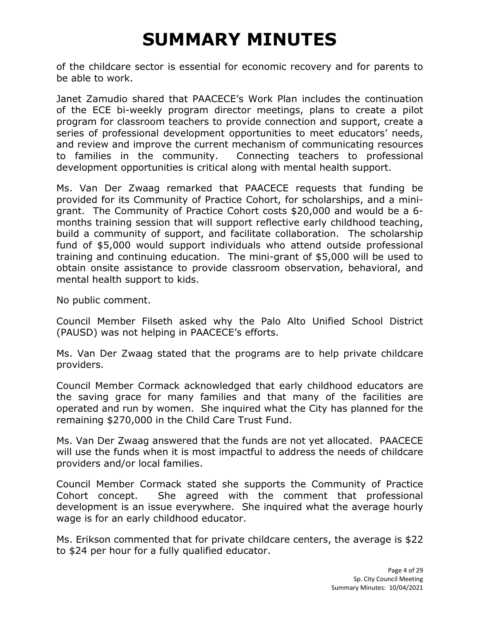of the childcare sector is essential for economic recovery and for parents to be able to work.

Janet Zamudio shared that PAACECE's Work Plan includes the continuation of the ECE bi-weekly program director meetings, plans to create a pilot program for classroom teachers to provide connection and support, create a series of professional development opportunities to meet educators' needs, and review and improve the current mechanism of communicating resources to families in the community. Connecting teachers to professional development opportunities is critical along with mental health support.

Ms. Van Der Zwaag remarked that PAACECE requests that funding be provided for its Community of Practice Cohort, for scholarships, and a minigrant. The Community of Practice Cohort costs \$20,000 and would be a 6 months training session that will support reflective early childhood teaching, build a community of support, and facilitate collaboration. The scholarship fund of \$5,000 would support individuals who attend outside professional training and continuing education. The mini-grant of \$5,000 will be used to obtain onsite assistance to provide classroom observation, behavioral, and mental health support to kids.

No public comment.

Council Member Filseth asked why the Palo Alto Unified School District (PAUSD) was not helping in PAACECE's efforts.

Ms. Van Der Zwaag stated that the programs are to help private childcare providers.

Council Member Cormack acknowledged that early childhood educators are the saving grace for many families and that many of the facilities are operated and run by women. She inquired what the City has planned for the remaining \$270,000 in the Child Care Trust Fund.

Ms. Van Der Zwaag answered that the funds are not yet allocated. PAACECE will use the funds when it is most impactful to address the needs of childcare providers and/or local families.

Council Member Cormack stated she supports the Community of Practice Cohort concept. She agreed with the comment that professional development is an issue everywhere. She inquired what the average hourly wage is for an early childhood educator.

Ms. Erikson commented that for private childcare centers, the average is \$22 to \$24 per hour for a fully qualified educator.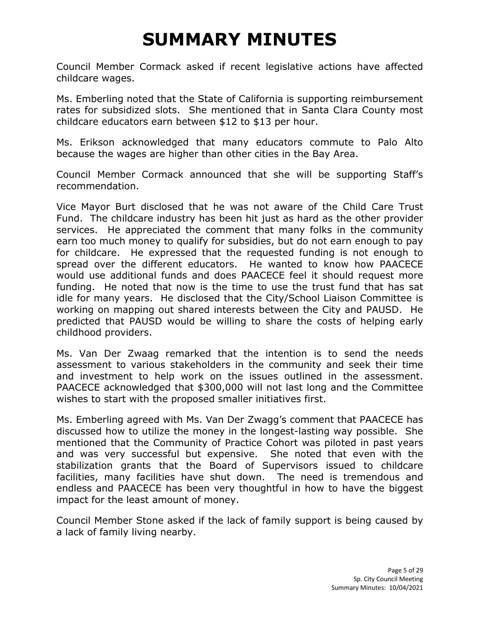Council Member Cormack asked if recent legislative actions have affected childcare wages.

Ms. Emberling noted that the State of California is supporting reimbursement rates for subsidized slots. She mentioned that in Santa Clara County most childcare educators earn between \$12 to \$13 per hour.

Ms. Erikson acknowledged that many educators commute to Palo Alto because the wages are higher than other cities in the Bay Area.

Council Member Cormack announced that she will be supporting Staff's recommendation.

Vice Mayor Burt disclosed that he was not aware of the Child Care Trust Fund. The childcare industry has been hit just as hard as the other provider services. He appreciated the comment that many folks in the community earn too much money to qualify for subsidies, but do not earn enough to pay for childcare. He expressed that the requested funding is not enough to spread over the different educators. He wanted to know how PAACECE would use additional funds and does PAACECE feel it should request more funding. He noted that now is the time to use the trust fund that has sat idle for many years. He disclosed that the City/School Liaison Committee is working on mapping out shared interests between the City and PAUSD. He predicted that PAUSD would be willing to share the costs of helping early childhood providers.

Ms. Van Der Zwaag remarked that the intention is to send the needs assessment to various stakeholders in the community and seek their time and investment to help work on the issues outlined in the assessment. PAACECE acknowledged that \$300,000 will not last long and the Committee wishes to start with the proposed smaller initiatives first.

Ms. Emberling agreed with Ms. Van Der Zwagg's comment that PAACECE has discussed how to utilize the money in the longest-lasting way possible. She mentioned that the Community of Practice Cohort was piloted in past years and was very successful but expensive. She noted that even with the stabilization grants that the Board of Supervisors issued to childcare facilities, many facilities have shut down. The need is tremendous and endless and PAACECE has been very thoughtful in how to have the biggest impact for the least amount of money.

Council Member Stone asked if the lack of family support is being caused by a lack of family living nearby.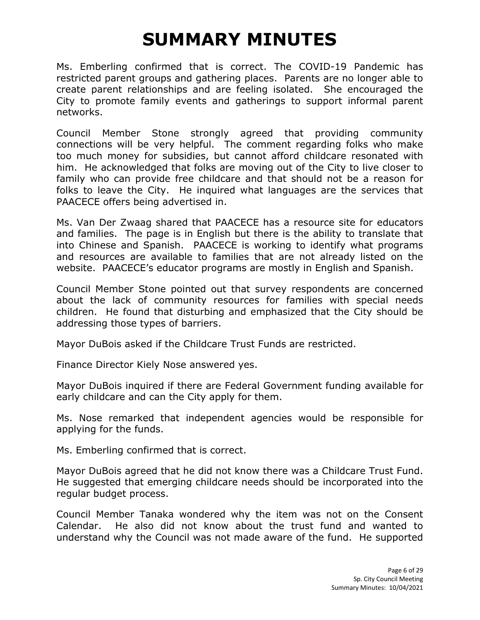Ms. Emberling confirmed that is correct. The COVID-19 Pandemic has restricted parent groups and gathering places. Parents are no longer able to create parent relationships and are feeling isolated. She encouraged the City to promote family events and gatherings to support informal parent networks.

Council Member Stone strongly agreed that providing community connections will be very helpful. The comment regarding folks who make too much money for subsidies, but cannot afford childcare resonated with him. He acknowledged that folks are moving out of the City to live closer to family who can provide free childcare and that should not be a reason for folks to leave the City. He inquired what languages are the services that PAACECE offers being advertised in.

Ms. Van Der Zwaag shared that PAACECE has a resource site for educators and families. The page is in English but there is the ability to translate that into Chinese and Spanish. PAACECE is working to identify what programs and resources are available to families that are not already listed on the website. PAACECE's educator programs are mostly in English and Spanish.

Council Member Stone pointed out that survey respondents are concerned about the lack of community resources for families with special needs children. He found that disturbing and emphasized that the City should be addressing those types of barriers.

Mayor DuBois asked if the Childcare Trust Funds are restricted.

Finance Director Kiely Nose answered yes.

Mayor DuBois inquired if there are Federal Government funding available for early childcare and can the City apply for them.

Ms. Nose remarked that independent agencies would be responsible for applying for the funds.

Ms. Emberling confirmed that is correct.

Mayor DuBois agreed that he did not know there was a Childcare Trust Fund. He suggested that emerging childcare needs should be incorporated into the regular budget process.

Council Member Tanaka wondered why the item was not on the Consent Calendar. He also did not know about the trust fund and wanted to understand why the Council was not made aware of the fund. He supported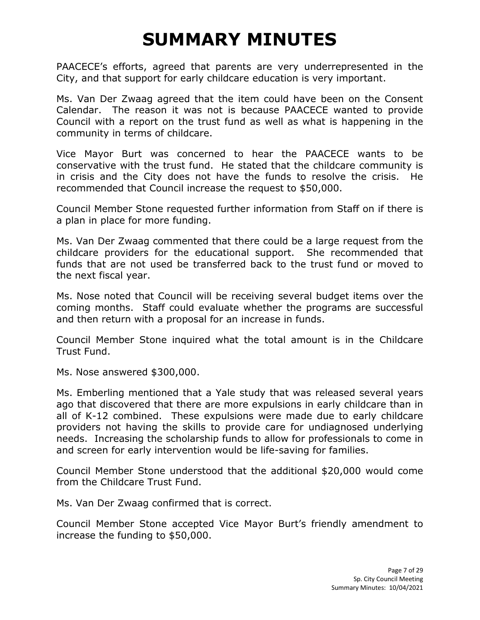PAACECE's efforts, agreed that parents are very underrepresented in the City, and that support for early childcare education is very important.

Ms. Van Der Zwaag agreed that the item could have been on the Consent Calendar. The reason it was not is because PAACECE wanted to provide Council with a report on the trust fund as well as what is happening in the community in terms of childcare.

Vice Mayor Burt was concerned to hear the PAACECE wants to be conservative with the trust fund. He stated that the childcare community is in crisis and the City does not have the funds to resolve the crisis. He recommended that Council increase the request to \$50,000.

Council Member Stone requested further information from Staff on if there is a plan in place for more funding.

Ms. Van Der Zwaag commented that there could be a large request from the childcare providers for the educational support. She recommended that funds that are not used be transferred back to the trust fund or moved to the next fiscal year.

Ms. Nose noted that Council will be receiving several budget items over the coming months. Staff could evaluate whether the programs are successful and then return with a proposal for an increase in funds.

Council Member Stone inquired what the total amount is in the Childcare Trust Fund.

Ms. Nose answered \$300,000.

Ms. Emberling mentioned that a Yale study that was released several years ago that discovered that there are more expulsions in early childcare than in all of K-12 combined. These expulsions were made due to early childcare providers not having the skills to provide care for undiagnosed underlying needs. Increasing the scholarship funds to allow for professionals to come in and screen for early intervention would be life-saving for families.

Council Member Stone understood that the additional \$20,000 would come from the Childcare Trust Fund.

Ms. Van Der Zwaag confirmed that is correct.

Council Member Stone accepted Vice Mayor Burt's friendly amendment to increase the funding to \$50,000.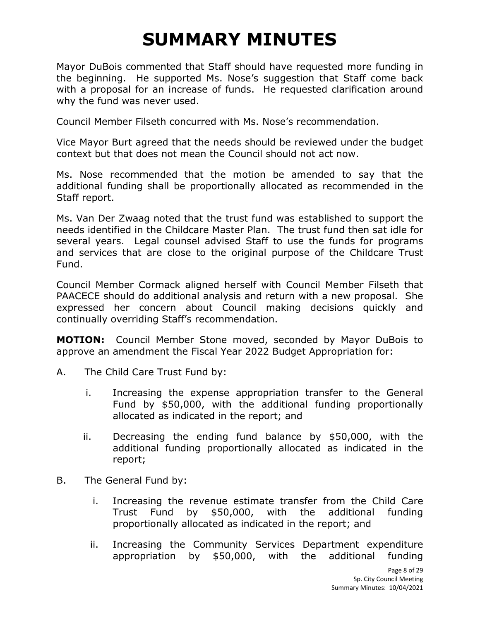Mayor DuBois commented that Staff should have requested more funding in the beginning. He supported Ms. Nose's suggestion that Staff come back with a proposal for an increase of funds. He requested clarification around why the fund was never used.

Council Member Filseth concurred with Ms. Nose's recommendation.

Vice Mayor Burt agreed that the needs should be reviewed under the budget context but that does not mean the Council should not act now.

Ms. Nose recommended that the motion be amended to say that the additional funding shall be proportionally allocated as recommended in the Staff report.

Ms. Van Der Zwaag noted that the trust fund was established to support the needs identified in the Childcare Master Plan. The trust fund then sat idle for several years. Legal counsel advised Staff to use the funds for programs and services that are close to the original purpose of the Childcare Trust Fund.

Council Member Cormack aligned herself with Council Member Filseth that PAACECE should do additional analysis and return with a new proposal. She expressed her concern about Council making decisions quickly and continually overriding Staff's recommendation.

**MOTION:** Council Member Stone moved, seconded by Mayor DuBois to approve an amendment the Fiscal Year 2022 Budget Appropriation for:

- A. The Child Care Trust Fund by:
	- i. Increasing the expense appropriation transfer to the General Fund by \$50,000, with the additional funding proportionally allocated as indicated in the report; and
	- ii. Decreasing the ending fund balance by \$50,000, with the additional funding proportionally allocated as indicated in the report;
- B. The General Fund by:
	- i. Increasing the revenue estimate transfer from the Child Care Trust Fund by \$50,000, with the additional funding proportionally allocated as indicated in the report; and
	- ii. Increasing the Community Services Department expenditure appropriation by \$50,000, with the additional funding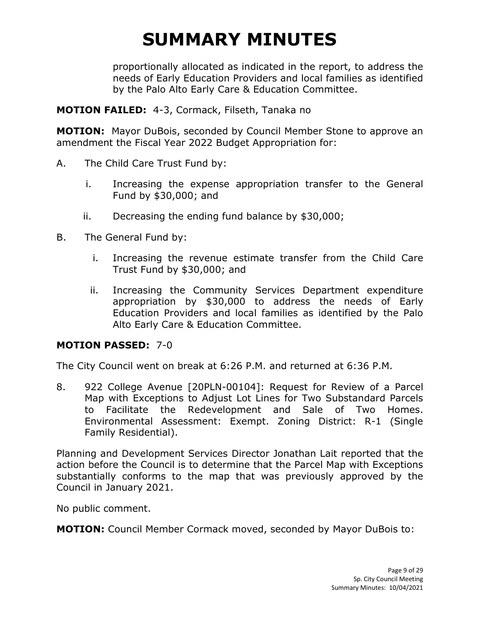proportionally allocated as indicated in the report, to address the needs of Early Education Providers and local families as identified by the Palo Alto Early Care & Education Committee.

**MOTION FAILED:** 4-3, Cormack, Filseth, Tanaka no

**MOTION:** Mayor DuBois, seconded by Council Member Stone to approve an amendment the Fiscal Year 2022 Budget Appropriation for:

- A. The Child Care Trust Fund by:
	- i. Increasing the expense appropriation transfer to the General Fund by \$30,000; and
	- ii. Decreasing the ending fund balance by \$30,000;
- B. The General Fund by:
	- i. Increasing the revenue estimate transfer from the Child Care Trust Fund by \$30,000; and
	- ii. Increasing the Community Services Department expenditure appropriation by \$30,000 to address the needs of Early Education Providers and local families as identified by the Palo Alto Early Care & Education Committee.

#### **MOTION PASSED:** 7-0

The City Council went on break at 6:26 P.M. and returned at 6:36 P.M.

8. 922 College Avenue [20PLN-00104]: Request for Review of a Parcel Map with Exceptions to Adjust Lot Lines for Two Substandard Parcels to Facilitate the Redevelopment and Sale of Two Homes. Environmental Assessment: Exempt. Zoning District: R-1 (Single Family Residential).

Planning and Development Services Director Jonathan Lait reported that the action before the Council is to determine that the Parcel Map with Exceptions substantially conforms to the map that was previously approved by the Council in January 2021.

No public comment.

**MOTION:** Council Member Cormack moved, seconded by Mayor DuBois to: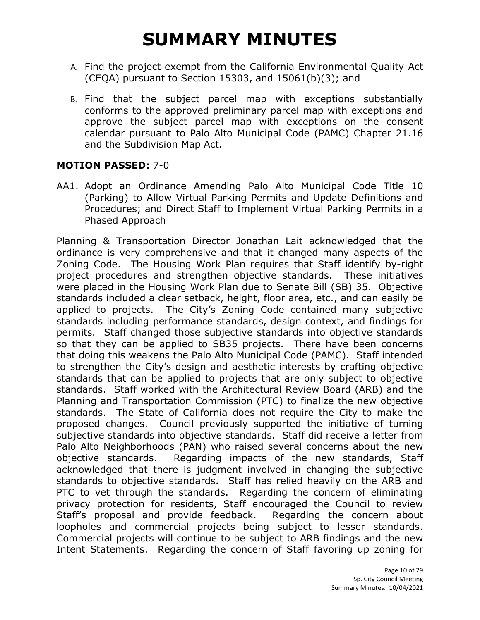- A. Find the project exempt from the California Environmental Quality Act (CEQA) pursuant to Section 15303, and  $15061(b)(3)$ ; and
- B. Find that the subject parcel map with exceptions substantially conforms to the approved preliminary parcel map with exceptions and approve the subject parcel map with exceptions on the consent calendar pursuant to Palo Alto Municipal Code (PAMC) Chapter 21.16 and the Subdivision Map Act.

#### **MOTION PASSED:** 7-0

AA1. Adopt an Ordinance Amending Palo Alto Municipal Code Title 10 (Parking) to Allow Virtual Parking Permits and Update Definitions and Procedures; and Direct Staff to Implement Virtual Parking Permits in a Phased Approach

Planning & Transportation Director Jonathan Lait acknowledged that the ordinance is very comprehensive and that it changed many aspects of the Zoning Code. The Housing Work Plan requires that Staff identify by-right project procedures and strengthen objective standards. These initiatives were placed in the Housing Work Plan due to Senate Bill (SB) 35. Objective standards included a clear setback, height, floor area, etc., and can easily be applied to projects. The City's Zoning Code contained many subjective standards including performance standards, design context, and findings for permits. Staff changed those subjective standards into objective standards so that they can be applied to SB35 projects. There have been concerns that doing this weakens the Palo Alto Municipal Code (PAMC). Staff intended to strengthen the City's design and aesthetic interests by crafting objective standards that can be applied to projects that are only subject to objective standards. Staff worked with the Architectural Review Board (ARB) and the Planning and Transportation Commission (PTC) to finalize the new objective standards. The State of California does not require the City to make the proposed changes. Council previously supported the initiative of turning subjective standards into objective standards. Staff did receive a letter from Palo Alto Neighborhoods (PAN) who raised several concerns about the new objective standards. Regarding impacts of the new standards, Staff acknowledged that there is judgment involved in changing the subjective standards to objective standards. Staff has relied heavily on the ARB and PTC to vet through the standards. Regarding the concern of eliminating privacy protection for residents, Staff encouraged the Council to review Staff's proposal and provide feedback. Regarding the concern about loopholes and commercial projects being subject to lesser standards. Commercial projects will continue to be subject to ARB findings and the new Intent Statements. Regarding the concern of Staff favoring up zoning for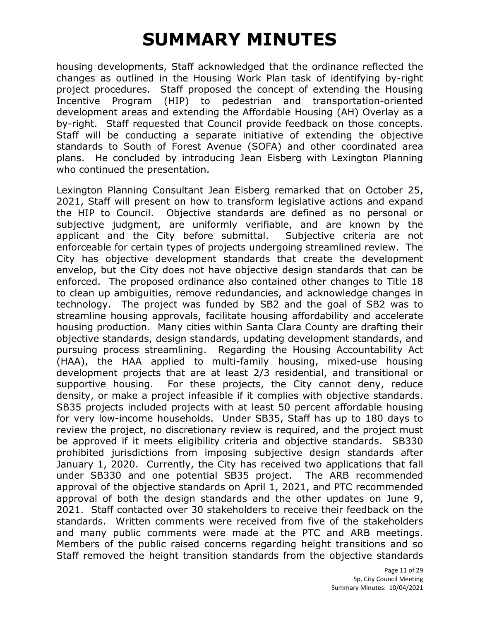housing developments, Staff acknowledged that the ordinance reflected the changes as outlined in the Housing Work Plan task of identifying by-right project procedures. Staff proposed the concept of extending the Housing Incentive Program (HIP) to pedestrian and transportation-oriented development areas and extending the Affordable Housing (AH) Overlay as a by-right. Staff requested that Council provide feedback on those concepts. Staff will be conducting a separate initiative of extending the objective standards to South of Forest Avenue (SOFA) and other coordinated area plans. He concluded by introducing Jean Eisberg with Lexington Planning who continued the presentation.

Lexington Planning Consultant Jean Eisberg remarked that on October 25, 2021, Staff will present on how to transform legislative actions and expand the HIP to Council. Objective standards are defined as no personal or subjective judgment, are uniformly verifiable, and are known by the applicant and the City before submittal. Subjective criteria are not enforceable for certain types of projects undergoing streamlined review. The City has objective development standards that create the development envelop, but the City does not have objective design standards that can be enforced. The proposed ordinance also contained other changes to Title 18 to clean up ambiguities, remove redundancies, and acknowledge changes in technology. The project was funded by SB2 and the goal of SB2 was to streamline housing approvals, facilitate housing affordability and accelerate housing production. Many cities within Santa Clara County are drafting their objective standards, design standards, updating development standards, and pursuing process streamlining. Regarding the Housing Accountability Act (HAA), the HAA applied to multi-family housing, mixed-use housing development projects that are at least 2/3 residential, and transitional or supportive housing. For these projects, the City cannot deny, reduce density, or make a project infeasible if it complies with objective standards. SB35 projects included projects with at least 50 percent affordable housing for very low-income households. Under SB35, Staff has up to 180 days to review the project, no discretionary review is required, and the project must be approved if it meets eligibility criteria and objective standards. SB330 prohibited jurisdictions from imposing subjective design standards after January 1, 2020. Currently, the City has received two applications that fall under SB330 and one potential SB35 project. The ARB recommended approval of the objective standards on April 1, 2021, and PTC recommended approval of both the design standards and the other updates on June 9, 2021. Staff contacted over 30 stakeholders to receive their feedback on the standards. Written comments were received from five of the stakeholders and many public comments were made at the PTC and ARB meetings. Members of the public raised concerns regarding height transitions and so Staff removed the height transition standards from the objective standards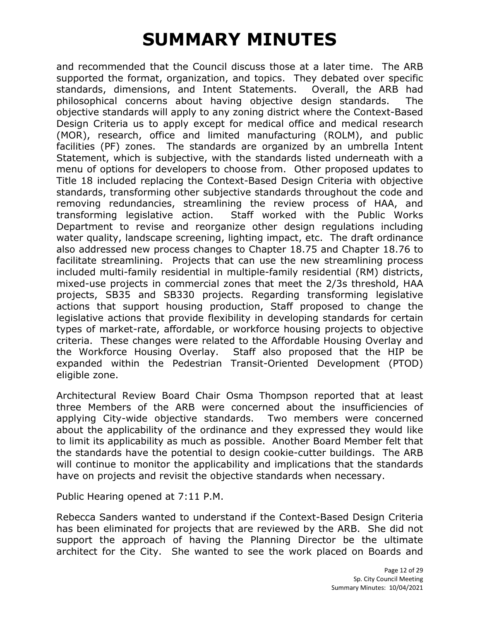and recommended that the Council discuss those at a later time. The ARB supported the format, organization, and topics. They debated over specific standards, dimensions, and Intent Statements. Overall, the ARB had philosophical concerns about having objective design standards. The objective standards will apply to any zoning district where the Context-Based Design Criteria us to apply except for medical office and medical research (MOR), research, office and limited manufacturing (ROLM), and public facilities (PF) zones. The standards are organized by an umbrella Intent Statement, which is subjective, with the standards listed underneath with a menu of options for developers to choose from. Other proposed updates to Title 18 included replacing the Context-Based Design Criteria with objective standards, transforming other subjective standards throughout the code and removing redundancies, streamlining the review process of HAA, and transforming legislative action. Staff worked with the Public Works Department to revise and reorganize other design regulations including water quality, landscape screening, lighting impact, etc. The draft ordinance also addressed new process changes to Chapter 18.75 and Chapter 18.76 to facilitate streamlining. Projects that can use the new streamlining process included multi-family residential in multiple-family residential (RM) districts, mixed-use projects in commercial zones that meet the 2/3s threshold, HAA projects, SB35 and SB330 projects. Regarding transforming legislative actions that support housing production, Staff proposed to change the legislative actions that provide flexibility in developing standards for certain types of market-rate, affordable, or workforce housing projects to objective criteria. These changes were related to the Affordable Housing Overlay and the Workforce Housing Overlay. Staff also proposed that the HIP be expanded within the Pedestrian Transit-Oriented Development (PTOD) eligible zone.

Architectural Review Board Chair Osma Thompson reported that at least three Members of the ARB were concerned about the insufficiencies of applying City-wide objective standards. Two members were concerned about the applicability of the ordinance and they expressed they would like to limit its applicability as much as possible. Another Board Member felt that the standards have the potential to design cookie-cutter buildings. The ARB will continue to monitor the applicability and implications that the standards have on projects and revisit the objective standards when necessary.

Public Hearing opened at 7:11 P.M.

Rebecca Sanders wanted to understand if the Context-Based Design Criteria has been eliminated for projects that are reviewed by the ARB. She did not support the approach of having the Planning Director be the ultimate architect for the City. She wanted to see the work placed on Boards and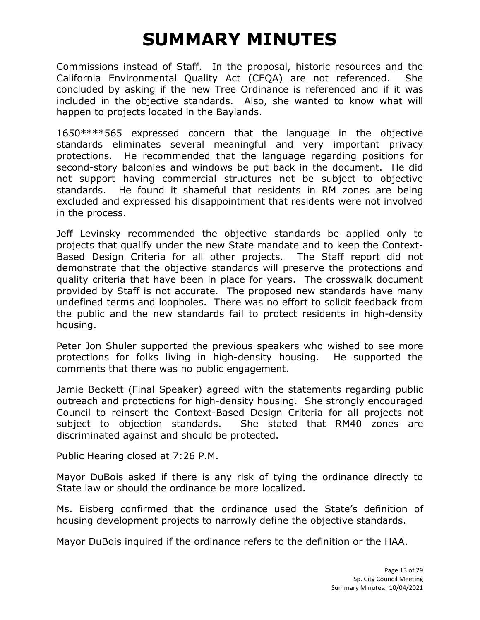Commissions instead of Staff. In the proposal, historic resources and the California Environmental Quality Act (CEQA) are not referenced. She concluded by asking if the new Tree Ordinance is referenced and if it was included in the objective standards. Also, she wanted to know what will happen to projects located in the Baylands.

1650\*\*\*\*565 expressed concern that the language in the objective standards eliminates several meaningful and very important privacy protections. He recommended that the language regarding positions for second-story balconies and windows be put back in the document. He did not support having commercial structures not be subject to objective standards. He found it shameful that residents in RM zones are being excluded and expressed his disappointment that residents were not involved in the process.

Jeff Levinsky recommended the objective standards be applied only to projects that qualify under the new State mandate and to keep the Context-Based Design Criteria for all other projects. The Staff report did not demonstrate that the objective standards will preserve the protections and quality criteria that have been in place for years. The crosswalk document provided by Staff is not accurate. The proposed new standards have many undefined terms and loopholes. There was no effort to solicit feedback from the public and the new standards fail to protect residents in high-density housing.

Peter Jon Shuler supported the previous speakers who wished to see more protections for folks living in high-density housing. He supported the comments that there was no public engagement.

Jamie Beckett (Final Speaker) agreed with the statements regarding public outreach and protections for high-density housing. She strongly encouraged Council to reinsert the Context-Based Design Criteria for all projects not subject to objection standards. She stated that RM40 zones are discriminated against and should be protected.

Public Hearing closed at 7:26 P.M.

Mayor DuBois asked if there is any risk of tying the ordinance directly to State law or should the ordinance be more localized.

Ms. Eisberg confirmed that the ordinance used the State's definition of housing development projects to narrowly define the objective standards.

Mayor DuBois inquired if the ordinance refers to the definition or the HAA.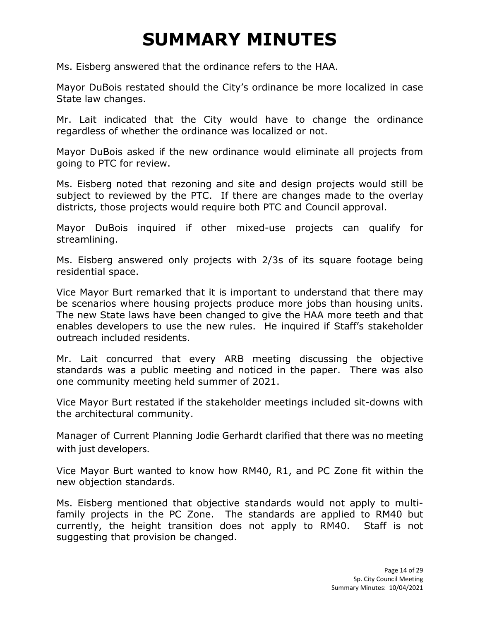Ms. Eisberg answered that the ordinance refers to the HAA.

Mayor DuBois restated should the City's ordinance be more localized in case State law changes.

Mr. Lait indicated that the City would have to change the ordinance regardless of whether the ordinance was localized or not.

Mayor DuBois asked if the new ordinance would eliminate all projects from going to PTC for review.

Ms. Eisberg noted that rezoning and site and design projects would still be subject to reviewed by the PTC. If there are changes made to the overlay districts, those projects would require both PTC and Council approval.

Mayor DuBois inquired if other mixed-use projects can qualify for streamlining.

Ms. Eisberg answered only projects with 2/3s of its square footage being residential space.

Vice Mayor Burt remarked that it is important to understand that there may be scenarios where housing projects produce more jobs than housing units. The new State laws have been changed to give the HAA more teeth and that enables developers to use the new rules. He inquired if Staff's stakeholder outreach included residents.

Mr. Lait concurred that every ARB meeting discussing the objective standards was a public meeting and noticed in the paper. There was also one community meeting held summer of 2021.

Vice Mayor Burt restated if the stakeholder meetings included sit-downs with the architectural community.

Manager of Current Planning Jodie Gerhardt clarified that there was no meeting with just developers.

Vice Mayor Burt wanted to know how RM40, R1, and PC Zone fit within the new objection standards.

Ms. Eisberg mentioned that objective standards would not apply to multifamily projects in the PC Zone. The standards are applied to RM40 but currently, the height transition does not apply to RM40. Staff is not suggesting that provision be changed.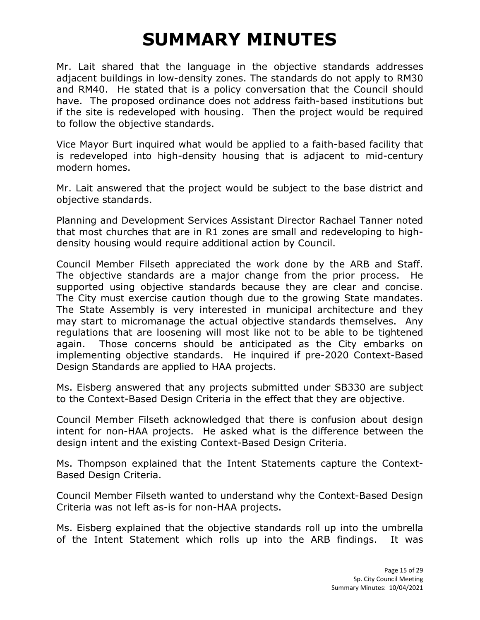Mr. Lait shared that the language in the objective standards addresses adjacent buildings in low-density zones. The standards do not apply to RM30 and RM40. He stated that is a policy conversation that the Council should have. The proposed ordinance does not address faith-based institutions but if the site is redeveloped with housing. Then the project would be required to follow the objective standards.

Vice Mayor Burt inquired what would be applied to a faith-based facility that is redeveloped into high-density housing that is adjacent to mid-century modern homes.

Mr. Lait answered that the project would be subject to the base district and objective standards.

Planning and Development Services Assistant Director Rachael Tanner noted that most churches that are in R1 zones are small and redeveloping to highdensity housing would require additional action by Council.

Council Member Filseth appreciated the work done by the ARB and Staff. The objective standards are a major change from the prior process. He supported using objective standards because they are clear and concise. The City must exercise caution though due to the growing State mandates. The State Assembly is very interested in municipal architecture and they may start to micromanage the actual objective standards themselves. Any regulations that are loosening will most like not to be able to be tightened again. Those concerns should be anticipated as the City embarks on implementing objective standards. He inquired if pre-2020 Context-Based Design Standards are applied to HAA projects.

Ms. Eisberg answered that any projects submitted under SB330 are subject to the Context-Based Design Criteria in the effect that they are objective.

Council Member Filseth acknowledged that there is confusion about design intent for non-HAA projects. He asked what is the difference between the design intent and the existing Context-Based Design Criteria.

Ms. Thompson explained that the Intent Statements capture the Context-Based Design Criteria.

Council Member Filseth wanted to understand why the Context-Based Design Criteria was not left as-is for non-HAA projects.

Ms. Eisberg explained that the objective standards roll up into the umbrella of the Intent Statement which rolls up into the ARB findings. It was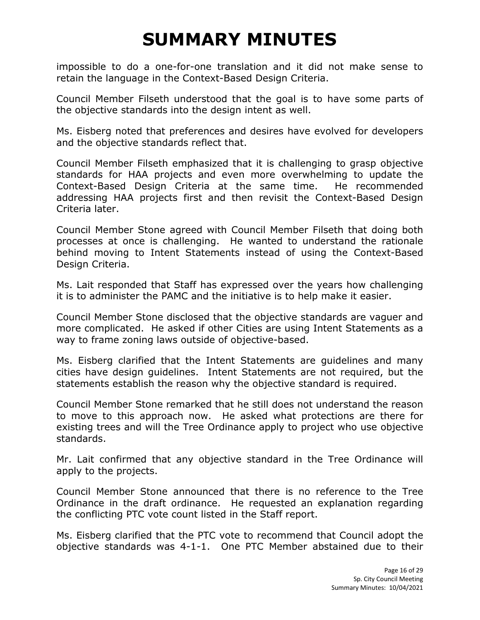impossible to do a one-for-one translation and it did not make sense to retain the language in the Context-Based Design Criteria.

Council Member Filseth understood that the goal is to have some parts of the objective standards into the design intent as well.

Ms. Eisberg noted that preferences and desires have evolved for developers and the objective standards reflect that.

Council Member Filseth emphasized that it is challenging to grasp objective standards for HAA projects and even more overwhelming to update the Context-Based Design Criteria at the same time. He recommended addressing HAA projects first and then revisit the Context-Based Design Criteria later.

Council Member Stone agreed with Council Member Filseth that doing both processes at once is challenging. He wanted to understand the rationale behind moving to Intent Statements instead of using the Context-Based Design Criteria.

Ms. Lait responded that Staff has expressed over the years how challenging it is to administer the PAMC and the initiative is to help make it easier.

Council Member Stone disclosed that the objective standards are vaguer and more complicated. He asked if other Cities are using Intent Statements as a way to frame zoning laws outside of objective-based.

Ms. Eisberg clarified that the Intent Statements are guidelines and many cities have design guidelines. Intent Statements are not required, but the statements establish the reason why the objective standard is required.

Council Member Stone remarked that he still does not understand the reason to move to this approach now. He asked what protections are there for existing trees and will the Tree Ordinance apply to project who use objective standards.

Mr. Lait confirmed that any objective standard in the Tree Ordinance will apply to the projects.

Council Member Stone announced that there is no reference to the Tree Ordinance in the draft ordinance. He requested an explanation regarding the conflicting PTC vote count listed in the Staff report.

Ms. Eisberg clarified that the PTC vote to recommend that Council adopt the objective standards was 4-1-1. One PTC Member abstained due to their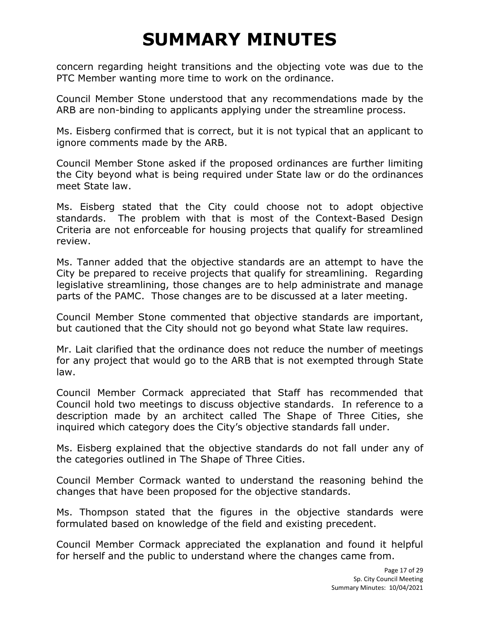concern regarding height transitions and the objecting vote was due to the PTC Member wanting more time to work on the ordinance.

Council Member Stone understood that any recommendations made by the ARB are non-binding to applicants applying under the streamline process.

Ms. Eisberg confirmed that is correct, but it is not typical that an applicant to ignore comments made by the ARB.

Council Member Stone asked if the proposed ordinances are further limiting the City beyond what is being required under State law or do the ordinances meet State law.

Ms. Eisberg stated that the City could choose not to adopt objective standards. The problem with that is most of the Context-Based Design Criteria are not enforceable for housing projects that qualify for streamlined review.

Ms. Tanner added that the objective standards are an attempt to have the City be prepared to receive projects that qualify for streamlining. Regarding legislative streamlining, those changes are to help administrate and manage parts of the PAMC. Those changes are to be discussed at a later meeting.

Council Member Stone commented that objective standards are important, but cautioned that the City should not go beyond what State law requires.

Mr. Lait clarified that the ordinance does not reduce the number of meetings for any project that would go to the ARB that is not exempted through State law.

Council Member Cormack appreciated that Staff has recommended that Council hold two meetings to discuss objective standards. In reference to a description made by an architect called The Shape of Three Cities, she inquired which category does the City's objective standards fall under.

Ms. Eisberg explained that the objective standards do not fall under any of the categories outlined in The Shape of Three Cities.

Council Member Cormack wanted to understand the reasoning behind the changes that have been proposed for the objective standards.

Ms. Thompson stated that the figures in the objective standards were formulated based on knowledge of the field and existing precedent.

Council Member Cormack appreciated the explanation and found it helpful for herself and the public to understand where the changes came from.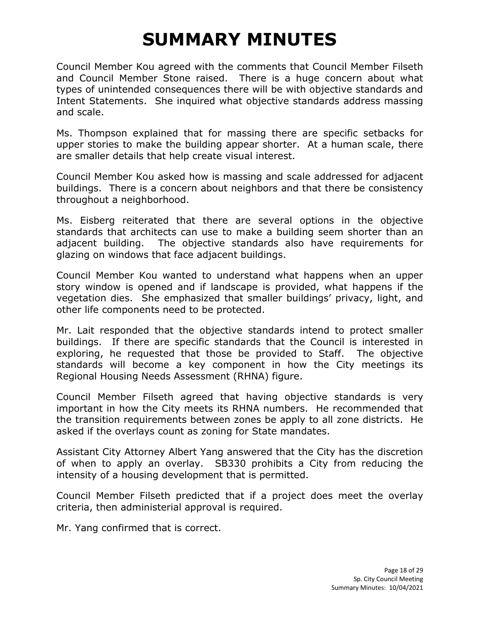Council Member Kou agreed with the comments that Council Member Filseth and Council Member Stone raised. There is a huge concern about what types of unintended consequences there will be with objective standards and Intent Statements. She inquired what objective standards address massing and scale.

Ms. Thompson explained that for massing there are specific setbacks for upper stories to make the building appear shorter. At a human scale, there are smaller details that help create visual interest.

Council Member Kou asked how is massing and scale addressed for adjacent buildings. There is a concern about neighbors and that there be consistency throughout a neighborhood.

Ms. Eisberg reiterated that there are several options in the objective standards that architects can use to make a building seem shorter than an adjacent building. The objective standards also have requirements for glazing on windows that face adjacent buildings.

Council Member Kou wanted to understand what happens when an upper story window is opened and if landscape is provided, what happens if the vegetation dies. She emphasized that smaller buildings' privacy, light, and other life components need to be protected.

Mr. Lait responded that the objective standards intend to protect smaller buildings. If there are specific standards that the Council is interested in exploring, he requested that those be provided to Staff. The objective standards will become a key component in how the City meetings its Regional Housing Needs Assessment (RHNA) figure.

Council Member Filseth agreed that having objective standards is very important in how the City meets its RHNA numbers. He recommended that the transition requirements between zones be apply to all zone districts. He asked if the overlays count as zoning for State mandates.

Assistant City Attorney Albert Yang answered that the City has the discretion of when to apply an overlay. SB330 prohibits a City from reducing the intensity of a housing development that is permitted.

Council Member Filseth predicted that if a project does meet the overlay criteria, then administerial approval is required.

Mr. Yang confirmed that is correct.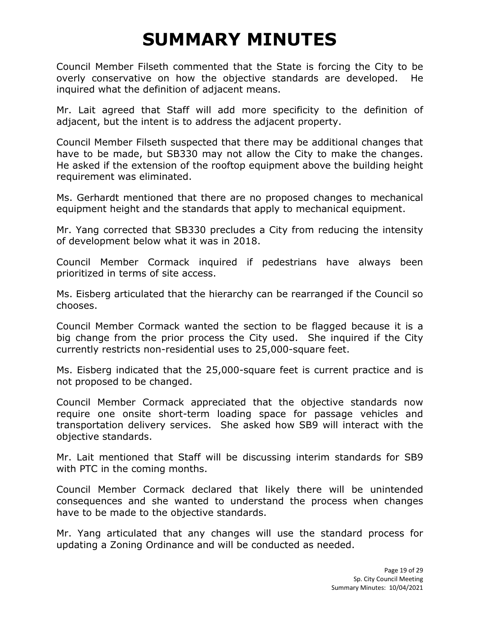Council Member Filseth commented that the State is forcing the City to be overly conservative on how the objective standards are developed. He inquired what the definition of adjacent means.

Mr. Lait agreed that Staff will add more specificity to the definition of adjacent, but the intent is to address the adjacent property.

Council Member Filseth suspected that there may be additional changes that have to be made, but SB330 may not allow the City to make the changes. He asked if the extension of the rooftop equipment above the building height requirement was eliminated.

Ms. Gerhardt mentioned that there are no proposed changes to mechanical equipment height and the standards that apply to mechanical equipment.

Mr. Yang corrected that SB330 precludes a City from reducing the intensity of development below what it was in 2018.

Council Member Cormack inquired if pedestrians have always been prioritized in terms of site access.

Ms. Eisberg articulated that the hierarchy can be rearranged if the Council so chooses.

Council Member Cormack wanted the section to be flagged because it is a big change from the prior process the City used. She inquired if the City currently restricts non-residential uses to 25,000-square feet.

Ms. Eisberg indicated that the 25,000-square feet is current practice and is not proposed to be changed.

Council Member Cormack appreciated that the objective standards now require one onsite short-term loading space for passage vehicles and transportation delivery services. She asked how SB9 will interact with the objective standards.

Mr. Lait mentioned that Staff will be discussing interim standards for SB9 with PTC in the coming months.

Council Member Cormack declared that likely there will be unintended consequences and she wanted to understand the process when changes have to be made to the objective standards.

Mr. Yang articulated that any changes will use the standard process for updating a Zoning Ordinance and will be conducted as needed.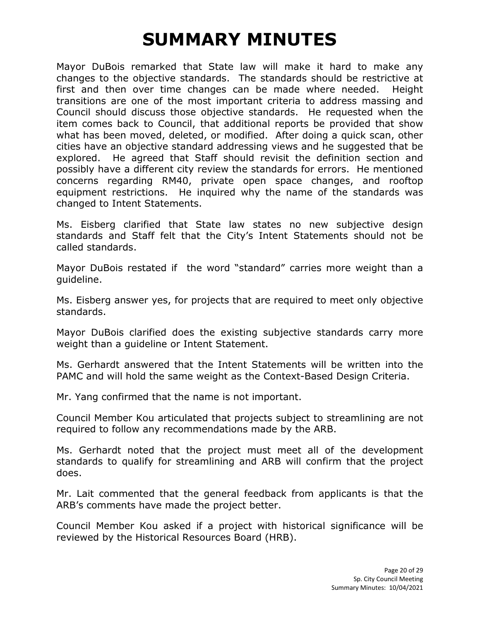Mayor DuBois remarked that State law will make it hard to make any changes to the objective standards. The standards should be restrictive at first and then over time changes can be made where needed. Height transitions are one of the most important criteria to address massing and Council should discuss those objective standards. He requested when the item comes back to Council, that additional reports be provided that show what has been moved, deleted, or modified. After doing a quick scan, other cities have an objective standard addressing views and he suggested that be explored. He agreed that Staff should revisit the definition section and possibly have a different city review the standards for errors. He mentioned concerns regarding RM40, private open space changes, and rooftop equipment restrictions. He inquired why the name of the standards was changed to Intent Statements.

Ms. Eisberg clarified that State law states no new subjective design standards and Staff felt that the City's Intent Statements should not be called standards.

Mayor DuBois restated if the word "standard" carries more weight than a guideline.

Ms. Eisberg answer yes, for projects that are required to meet only objective standards.

Mayor DuBois clarified does the existing subjective standards carry more weight than a guideline or Intent Statement.

Ms. Gerhardt answered that the Intent Statements will be written into the PAMC and will hold the same weight as the Context-Based Design Criteria.

Mr. Yang confirmed that the name is not important.

Council Member Kou articulated that projects subject to streamlining are not required to follow any recommendations made by the ARB.

Ms. Gerhardt noted that the project must meet all of the development standards to qualify for streamlining and ARB will confirm that the project does.

Mr. Lait commented that the general feedback from applicants is that the ARB's comments have made the project better.

Council Member Kou asked if a project with historical significance will be reviewed by the Historical Resources Board (HRB).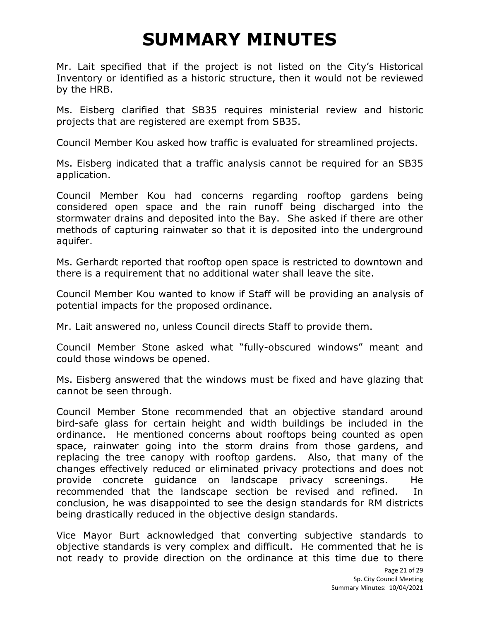Mr. Lait specified that if the project is not listed on the City's Historical Inventory or identified as a historic structure, then it would not be reviewed by the HRB.

Ms. Eisberg clarified that SB35 requires ministerial review and historic projects that are registered are exempt from SB35.

Council Member Kou asked how traffic is evaluated for streamlined projects.

Ms. Eisberg indicated that a traffic analysis cannot be required for an SB35 application.

Council Member Kou had concerns regarding rooftop gardens being considered open space and the rain runoff being discharged into the stormwater drains and deposited into the Bay. She asked if there are other methods of capturing rainwater so that it is deposited into the underground aquifer.

Ms. Gerhardt reported that rooftop open space is restricted to downtown and there is a requirement that no additional water shall leave the site.

Council Member Kou wanted to know if Staff will be providing an analysis of potential impacts for the proposed ordinance.

Mr. Lait answered no, unless Council directs Staff to provide them.

Council Member Stone asked what "fully-obscured windows" meant and could those windows be opened.

Ms. Eisberg answered that the windows must be fixed and have glazing that cannot be seen through.

Council Member Stone recommended that an objective standard around bird-safe glass for certain height and width buildings be included in the ordinance. He mentioned concerns about rooftops being counted as open space, rainwater going into the storm drains from those gardens, and replacing the tree canopy with rooftop gardens. Also, that many of the changes effectively reduced or eliminated privacy protections and does not provide concrete guidance on landscape privacy screenings. He recommended that the landscape section be revised and refined. In conclusion, he was disappointed to see the design standards for RM districts being drastically reduced in the objective design standards.

Vice Mayor Burt acknowledged that converting subjective standards to objective standards is very complex and difficult. He commented that he is not ready to provide direction on the ordinance at this time due to there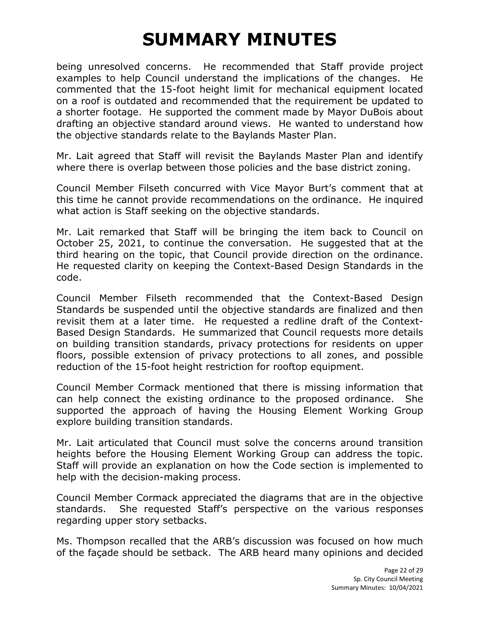being unresolved concerns. He recommended that Staff provide project examples to help Council understand the implications of the changes. He commented that the 15-foot height limit for mechanical equipment located on a roof is outdated and recommended that the requirement be updated to a shorter footage. He supported the comment made by Mayor DuBois about drafting an objective standard around views. He wanted to understand how the objective standards relate to the Baylands Master Plan.

Mr. Lait agreed that Staff will revisit the Baylands Master Plan and identify where there is overlap between those policies and the base district zoning.

Council Member Filseth concurred with Vice Mayor Burt's comment that at this time he cannot provide recommendations on the ordinance. He inquired what action is Staff seeking on the objective standards.

Mr. Lait remarked that Staff will be bringing the item back to Council on October 25, 2021, to continue the conversation. He suggested that at the third hearing on the topic, that Council provide direction on the ordinance. He requested clarity on keeping the Context-Based Design Standards in the code.

Council Member Filseth recommended that the Context-Based Design Standards be suspended until the objective standards are finalized and then revisit them at a later time. He requested a redline draft of the Context-Based Design Standards. He summarized that Council requests more details on building transition standards, privacy protections for residents on upper floors, possible extension of privacy protections to all zones, and possible reduction of the 15-foot height restriction for rooftop equipment.

Council Member Cormack mentioned that there is missing information that can help connect the existing ordinance to the proposed ordinance. She supported the approach of having the Housing Element Working Group explore building transition standards.

Mr. Lait articulated that Council must solve the concerns around transition heights before the Housing Element Working Group can address the topic. Staff will provide an explanation on how the Code section is implemented to help with the decision-making process.

Council Member Cormack appreciated the diagrams that are in the objective standards. She requested Staff's perspective on the various responses regarding upper story setbacks.

Ms. Thompson recalled that the ARB's discussion was focused on how much of the façade should be setback. The ARB heard many opinions and decided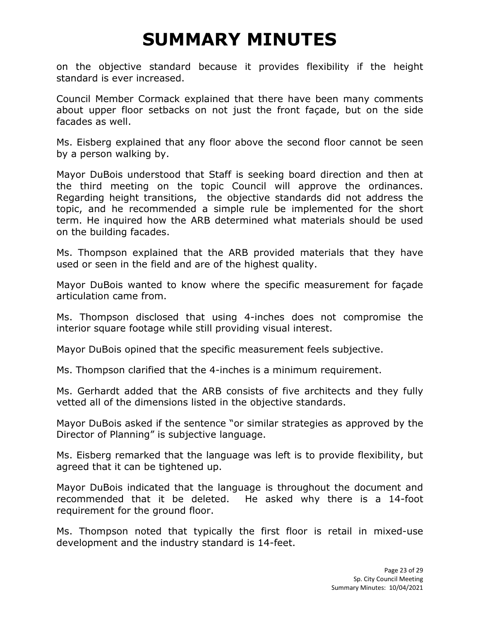on the objective standard because it provides flexibility if the height standard is ever increased.

Council Member Cormack explained that there have been many comments about upper floor setbacks on not just the front façade, but on the side facades as well.

Ms. Eisberg explained that any floor above the second floor cannot be seen by a person walking by.

Mayor DuBois understood that Staff is seeking board direction and then at the third meeting on the topic Council will approve the ordinances. Regarding height transitions, the objective standards did not address the topic, and he recommended a simple rule be implemented for the short term. He inquired how the ARB determined what materials should be used on the building facades.

Ms. Thompson explained that the ARB provided materials that they have used or seen in the field and are of the highest quality.

Mayor DuBois wanted to know where the specific measurement for façade articulation came from.

Ms. Thompson disclosed that using 4-inches does not compromise the interior square footage while still providing visual interest.

Mayor DuBois opined that the specific measurement feels subjective.

Ms. Thompson clarified that the 4-inches is a minimum requirement.

Ms. Gerhardt added that the ARB consists of five architects and they fully vetted all of the dimensions listed in the objective standards.

Mayor DuBois asked if the sentence "or similar strategies as approved by the Director of Planning" is subjective language.

Ms. Eisberg remarked that the language was left is to provide flexibility, but agreed that it can be tightened up.

Mayor DuBois indicated that the language is throughout the document and recommended that it be deleted. He asked why there is a 14-foot requirement for the ground floor.

Ms. Thompson noted that typically the first floor is retail in mixed-use development and the industry standard is 14-feet.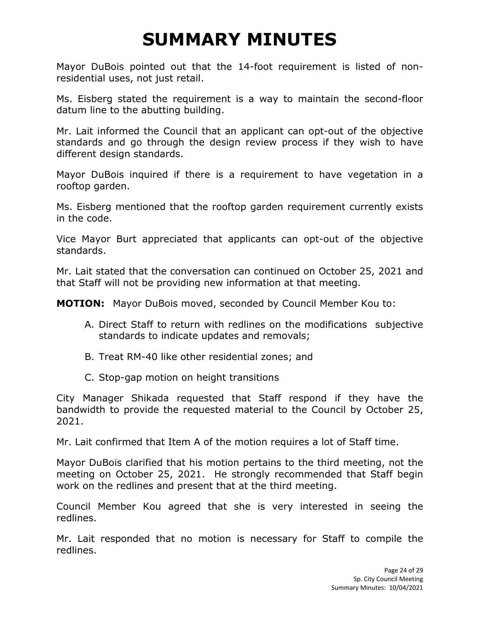Mayor DuBois pointed out that the 14-foot requirement is listed of nonresidential uses, not just retail.

Ms. Eisberg stated the requirement is a way to maintain the second-floor datum line to the abutting building.

Mr. Lait informed the Council that an applicant can opt-out of the objective standards and go through the design review process if they wish to have different design standards.

Mayor DuBois inquired if there is a requirement to have vegetation in a rooftop garden.

Ms. Eisberg mentioned that the rooftop garden requirement currently exists in the code.

Vice Mayor Burt appreciated that applicants can opt-out of the objective standards.

Mr. Lait stated that the conversation can continued on October 25, 2021 and that Staff will not be providing new information at that meeting.

**MOTION:** Mayor DuBois moved, seconded by Council Member Kou to:

- A. Direct Staff to return with redlines on the modifications subjective standards to indicate updates and removals;
- B. Treat RM-40 like other residential zones; and
- C. Stop-gap motion on height transitions

City Manager Shikada requested that Staff respond if they have the bandwidth to provide the requested material to the Council by October 25, 2021.

Mr. Lait confirmed that Item A of the motion requires a lot of Staff time.

Mayor DuBois clarified that his motion pertains to the third meeting, not the meeting on October 25, 2021. He strongly recommended that Staff begin work on the redlines and present that at the third meeting.

Council Member Kou agreed that she is very interested in seeing the redlines.

Mr. Lait responded that no motion is necessary for Staff to compile the redlines.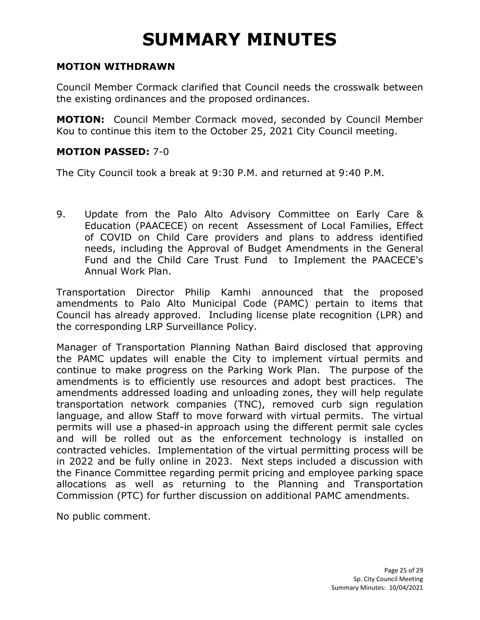#### **MOTION WITHDRAWN**

Council Member Cormack clarified that Council needs the crosswalk between the existing ordinances and the proposed ordinances.

**MOTION:** Council Member Cormack moved, seconded by Council Member Kou to continue this item to the October 25, 2021 City Council meeting.

#### **MOTION PASSED:** 7-0

The City Council took a break at 9:30 P.M. and returned at 9:40 P.M.

9. Update from the Palo Alto Advisory Committee on Early Care & Education (PAACECE) on recent Assessment of Local Families, Effect of COVID on Child Care providers and plans to address identified needs, including the Approval of Budget Amendments in the General Fund and the Child Care Trust Fund to Implement the PAACECE's Annual Work Plan.

Transportation Director Philip Kamhi announced that the proposed amendments to Palo Alto Municipal Code (PAMC) pertain to items that Council has already approved. Including license plate recognition (LPR) and the corresponding LRP Surveillance Policy.

Manager of Transportation Planning Nathan Baird disclosed that approving the PAMC updates will enable the City to implement virtual permits and continue to make progress on the Parking Work Plan. The purpose of the amendments is to efficiently use resources and adopt best practices. The amendments addressed loading and unloading zones, they will help regulate transportation network companies (TNC), removed curb sign regulation language, and allow Staff to move forward with virtual permits. The virtual permits will use a phased-in approach using the different permit sale cycles and will be rolled out as the enforcement technology is installed on contracted vehicles. Implementation of the virtual permitting process will be in 2022 and be fully online in 2023. Next steps included a discussion with the Finance Committee regarding permit pricing and employee parking space allocations as well as returning to the Planning and Transportation Commission (PTC) for further discussion on additional PAMC amendments.

No public comment.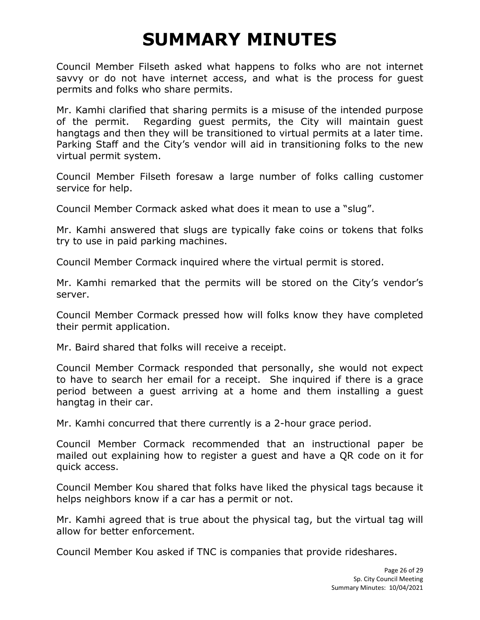Council Member Filseth asked what happens to folks who are not internet savvy or do not have internet access, and what is the process for guest permits and folks who share permits.

Mr. Kamhi clarified that sharing permits is a misuse of the intended purpose of the permit. Regarding guest permits, the City will maintain guest hangtags and then they will be transitioned to virtual permits at a later time. Parking Staff and the City's vendor will aid in transitioning folks to the new virtual permit system.

Council Member Filseth foresaw a large number of folks calling customer service for help.

Council Member Cormack asked what does it mean to use a "slug".

Mr. Kamhi answered that slugs are typically fake coins or tokens that folks try to use in paid parking machines.

Council Member Cormack inquired where the virtual permit is stored.

Mr. Kamhi remarked that the permits will be stored on the City's vendor's server.

Council Member Cormack pressed how will folks know they have completed their permit application.

Mr. Baird shared that folks will receive a receipt.

Council Member Cormack responded that personally, she would not expect to have to search her email for a receipt. She inquired if there is a grace period between a guest arriving at a home and them installing a guest hangtag in their car.

Mr. Kamhi concurred that there currently is a 2-hour grace period.

Council Member Cormack recommended that an instructional paper be mailed out explaining how to register a guest and have a QR code on it for quick access.

Council Member Kou shared that folks have liked the physical tags because it helps neighbors know if a car has a permit or not.

Mr. Kamhi agreed that is true about the physical tag, but the virtual tag will allow for better enforcement.

Council Member Kou asked if TNC is companies that provide rideshares.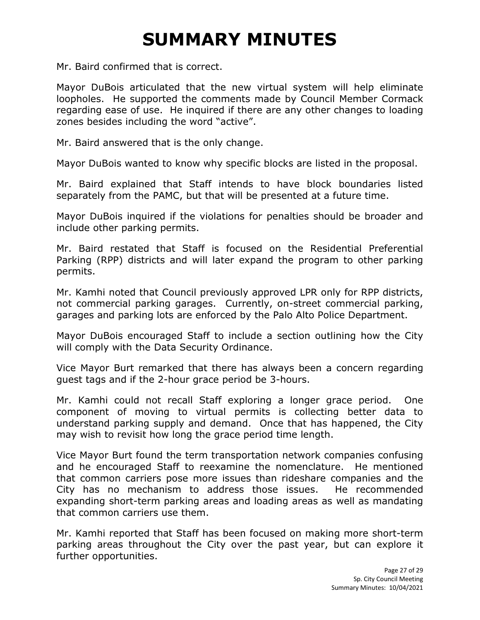Mr. Baird confirmed that is correct.

Mayor DuBois articulated that the new virtual system will help eliminate loopholes. He supported the comments made by Council Member Cormack regarding ease of use. He inquired if there are any other changes to loading zones besides including the word "active".

Mr. Baird answered that is the only change.

Mayor DuBois wanted to know why specific blocks are listed in the proposal.

Mr. Baird explained that Staff intends to have block boundaries listed separately from the PAMC, but that will be presented at a future time.

Mayor DuBois inquired if the violations for penalties should be broader and include other parking permits.

Mr. Baird restated that Staff is focused on the Residential Preferential Parking (RPP) districts and will later expand the program to other parking permits.

Mr. Kamhi noted that Council previously approved LPR only for RPP districts, not commercial parking garages. Currently, on-street commercial parking, garages and parking lots are enforced by the Palo Alto Police Department.

Mayor DuBois encouraged Staff to include a section outlining how the City will comply with the Data Security Ordinance.

Vice Mayor Burt remarked that there has always been a concern regarding guest tags and if the 2-hour grace period be 3-hours.

Mr. Kamhi could not recall Staff exploring a longer grace period. One component of moving to virtual permits is collecting better data to understand parking supply and demand. Once that has happened, the City may wish to revisit how long the grace period time length.

Vice Mayor Burt found the term transportation network companies confusing and he encouraged Staff to reexamine the nomenclature. He mentioned that common carriers pose more issues than rideshare companies and the City has no mechanism to address those issues. He recommended expanding short-term parking areas and loading areas as well as mandating that common carriers use them.

Mr. Kamhi reported that Staff has been focused on making more short-term parking areas throughout the City over the past year, but can explore it further opportunities.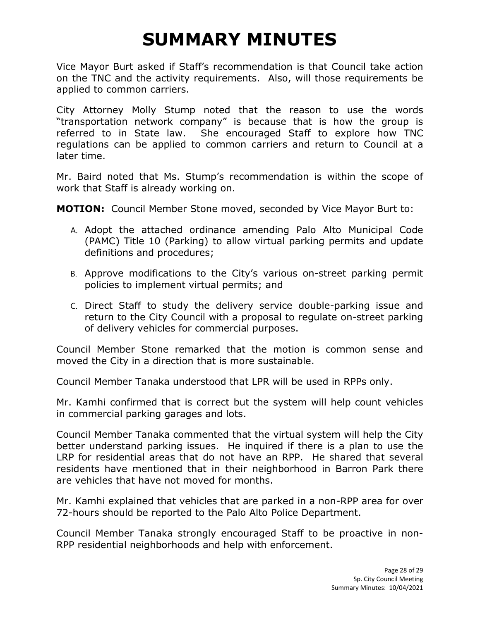Vice Mayor Burt asked if Staff's recommendation is that Council take action on the TNC and the activity requirements. Also, will those requirements be applied to common carriers.

City Attorney Molly Stump noted that the reason to use the words "transportation network company" is because that is how the group is referred to in State law. She encouraged Staff to explore how TNC regulations can be applied to common carriers and return to Council at a later time.

Mr. Baird noted that Ms. Stump's recommendation is within the scope of work that Staff is already working on.

**MOTION:** Council Member Stone moved, seconded by Vice Mayor Burt to:

- A. Adopt the attached ordinance amending Palo Alto Municipal Code (PAMC) Title 10 (Parking) to allow virtual parking permits and update definitions and procedures;
- B. Approve modifications to the City's various on-street parking permit policies to implement virtual permits; and
- C. Direct Staff to study the delivery service double-parking issue and return to the City Council with a proposal to regulate on-street parking of delivery vehicles for commercial purposes.

Council Member Stone remarked that the motion is common sense and moved the City in a direction that is more sustainable.

Council Member Tanaka understood that LPR will be used in RPPs only.

Mr. Kamhi confirmed that is correct but the system will help count vehicles in commercial parking garages and lots.

Council Member Tanaka commented that the virtual system will help the City better understand parking issues. He inquired if there is a plan to use the LRP for residential areas that do not have an RPP. He shared that several residents have mentioned that in their neighborhood in Barron Park there are vehicles that have not moved for months.

Mr. Kamhi explained that vehicles that are parked in a non-RPP area for over 72-hours should be reported to the Palo Alto Police Department.

Council Member Tanaka strongly encouraged Staff to be proactive in non-RPP residential neighborhoods and help with enforcement.